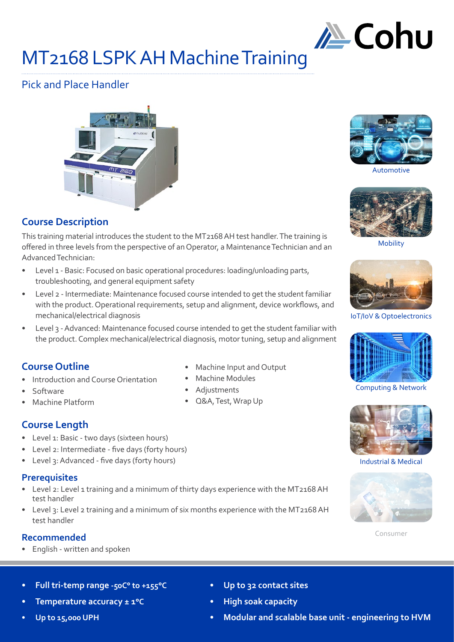

# MT2168 LSPK AH Machine Training

# Pick and Place Handler



# **Course Description**

This training material introduces the student to the MT2168 AH test handler. The training is offered in three levels from the perspective of an Operator, a Maintenance Technician and an Advanced Technician:

- Level 1 Basic: Focused on basic operational procedures: loading/unloading parts, troubleshooting, and general equipment safety
- Level 2 Intermediate: Maintenance focused course intended to get the student familiar with the product. Operational requirements, setup and alignment, device workflows, and mechanical/electrical diagnosis
- Level 3 Advanced: Maintenance focused course intended to get the student familiar with the product. Complex mechanical/electrical diagnosis, motor tuning, setup and alignment

# **Course Outline**

- Introduction and Course Orientation
- Software
- Machine Platform
- **Course Length**
- Level 1: Basic two days (sixteen hours)
- Level 2: Intermediate five days (forty hours)
- Level 3: Advanced five days (forty hours)

#### **Prerequisites**

- Level 2: Level 1 training and a minimum of thirty days experience with the MT2168 AH test handler
- Level 3: Level 2 training and a minimum of six months experience with the MT2168 AH test handler

#### **Recommended**

• English - written and spoken

- Machine Input and Output
- 
- 



Automotive



Mobility



IoT/IoV & Optoelectronics



Computing & Network



Industrial & Medical



Consumer

- **• Full tri-temp range -50C° to +155°C**
- **• Temperature accuracy ± 1°C**
- **• Up to 15,000 UPH**
- **• Up to 32 contact sites**
- **• High soak capacity**
- **• Modular and scalable base unit engineering to HVM**

- Adjustments
- Q&A, Test, Wrap Up
- Machine Modules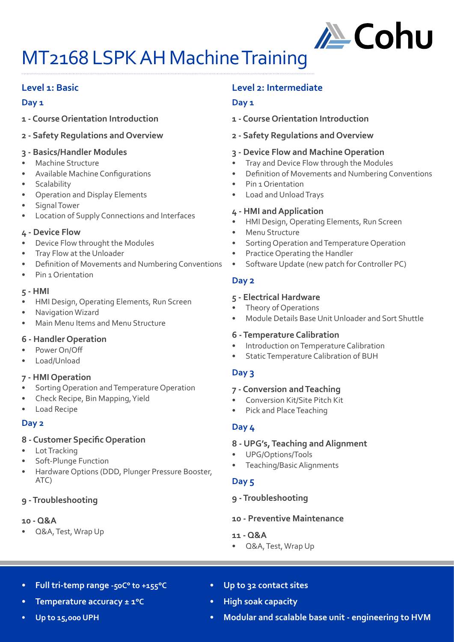

# MT2168 LSPK AH Machine Training

# **Level 1: Basic**

#### **Day 1**

- **1 Course Orientation Introduction**
- **2 Safety Regulations and Overview**

#### **3 - Basics/Handler Modules**

- Machine Structure
- Available Machine Configurations
- **Scalability**
- Operation and Display Elements
- Signal Tower
- Location of Supply Connections and Interfaces

#### **4 - Device Flow**

- Device Flow throught the Modules
- Tray Flow at the Unloader
- Definition of Movements and Numbering Conventions
- Pin 1 Orientation

#### **5 - HMI**

- HMI Design, Operating Elements, Run Screen
- Navigation Wizard
- Main Menu Items and Menu Structure

#### **6 - Handler Operation**

- Power On/Off
- Load/Unload

#### **7 - HMI Operation**

- Sorting Operation and Temperature Operation
- Check Recipe, Bin Mapping, Yield
- Load Recipe

#### **Day 2**

#### **8 - Customer Specific Operation**

- Lot Tracking
- Soft-Plunge Function
- Hardware Options (DDD, Plunger Pressure Booster, ATC)

#### **9 - Troubleshooting**

#### **10 - Q&A**

• Q&A, Test, Wrap Up

### **Level 2: Intermediate**

#### **Day 1**

- **1 Course Orientation Introduction**
- **2 Safety Regulations and Overview**

#### **3 - Device Flow and Machine Operation**

- Tray and Device Flow through the Modules
- Definition of Movements and Numbering Conventions
- Pin 1 Orientation
- Load and Unload Trays

#### **4 - HMI and Application**

- HMI Design, Operating Elements, Run Screen
- Menu Structure
- Sorting Operation and Temperature Operation
- Practice Operating the Handler
- Software Update (new patch for Controller PC)

#### **Day 2**

#### **5 - Electrical Hardware**

- Theory of Operations
- Module Details Base Unit Unloader and Sort Shuttle

#### **6 - Temperature Calibration**

- Introduction on Temperature Calibration
- Static Temperature Calibration of BUH

#### **Day 3**

#### **7 - Conversion and Teaching**

- Conversion Kit/Site Pitch Kit
- Pick and Place Teaching

#### **Day 4**

#### **8 - UPG's, Teaching and Alignment**

- UPG/Options/Tools
- Teaching/Basic Alignments

#### **Day 5**

#### **9 - Troubleshooting**

#### **10 - Preventive Maintenance**

- **11 Q&A**
- Q&A, Test, Wrap Up

- **• Full tri-temp range -50C° to +155°C**
- **• Temperature accuracy ± 1°C**

#### **• Up to 15,000 UPH**

- **• Up to 32 contact sites**
- **• High soak capacity**
- **• Modular and scalable base unit engineering to HVM**